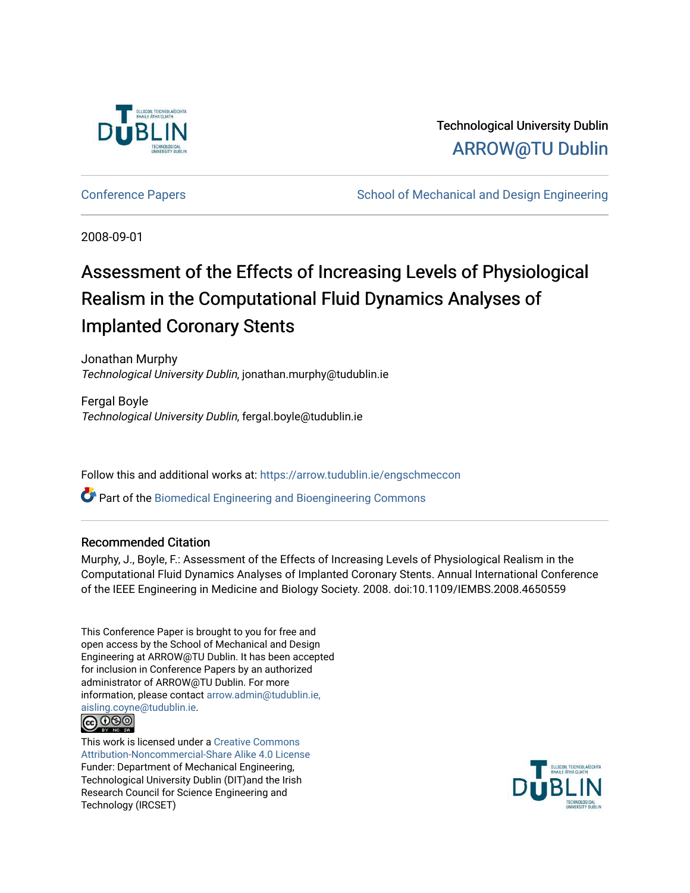

Technological University Dublin [ARROW@TU Dublin](https://arrow.tudublin.ie/) 

[Conference Papers](https://arrow.tudublin.ie/engschmeccon) **School of Mechanical and Design Engineering** 

2008-09-01

# Assessment of the Effects of Increasing Levels of Physiological Realism in the Computational Fluid Dynamics Analyses of Implanted Coronary Stents

Jonathan Murphy Technological University Dublin, jonathan.murphy@tudublin.ie

Fergal Boyle Technological University Dublin, fergal.boyle@tudublin.ie

Follow this and additional works at: [https://arrow.tudublin.ie/engschmeccon](https://arrow.tudublin.ie/engschmeccon?utm_source=arrow.tudublin.ie%2Fengschmeccon%2F19&utm_medium=PDF&utm_campaign=PDFCoverPages) 

Part of the [Biomedical Engineering and Bioengineering Commons](http://network.bepress.com/hgg/discipline/229?utm_source=arrow.tudublin.ie%2Fengschmeccon%2F19&utm_medium=PDF&utm_campaign=PDFCoverPages) 

## Recommended Citation

Murphy, J., Boyle, F.: Assessment of the Effects of Increasing Levels of Physiological Realism in the Computational Fluid Dynamics Analyses of Implanted Coronary Stents. Annual International Conference of the IEEE Engineering in Medicine and Biology Society. 2008. doi:10.1109/IEMBS.2008.4650559

This Conference Paper is brought to you for free and open access by the School of Mechanical and Design Engineering at ARROW@TU Dublin. It has been accepted for inclusion in Conference Papers by an authorized administrator of ARROW@TU Dublin. For more information, please contact [arrow.admin@tudublin.ie,](mailto:arrow.admin@tudublin.ie,%20aisling.coyne@tudublin.ie)  [aisling.coyne@tudublin.ie.](mailto:arrow.admin@tudublin.ie,%20aisling.coyne@tudublin.ie)



This work is licensed under a [Creative Commons](http://creativecommons.org/licenses/by-nc-sa/4.0/) [Attribution-Noncommercial-Share Alike 4.0 License](http://creativecommons.org/licenses/by-nc-sa/4.0/) Funder: Department of Mechanical Engineering, Technological University Dublin (DIT)and the Irish Research Council for Science Engineering and Technology (IRCSET)

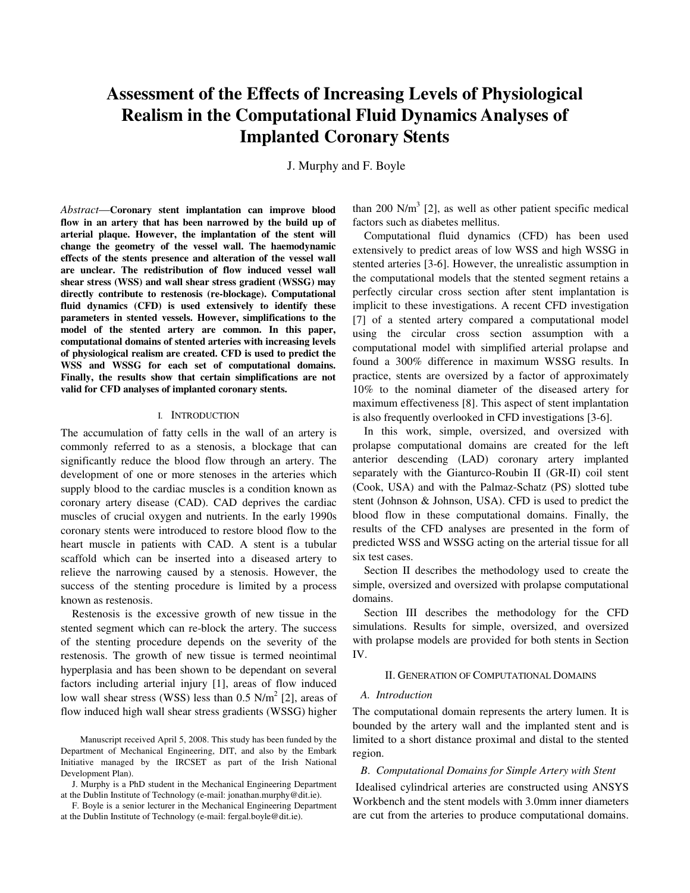## **Assessment of the Effects of Increasing Levels of Physiological Realism in the Computational Fluid Dynamics Analyses of Implanted Coronary Stents**

J. Murphy and F. Boyle

*Abstract*—**Coronary stent implantation can improve blood flow in an artery that has been narrowed by the build up of arterial plaque. However, the implantation of the stent will change the geometry of the vessel wall. The haemodynamic effects of the stents presence and alteration of the vessel wall are unclear. The redistribution of flow induced vessel wall shear stress (WSS) and wall shear stress gradient (WSSG) may directly contribute to restenosis (re-blockage). Computational fluid dynamics (CFD) is used extensively to identify these parameters in stented vessels. However, simplifications to the model of the stented artery are common. In this paper, computational domains of stented arteries with increasing levels of physiological realism are created. CFD is used to predict the WSS and WSSG for each set of computational domains. Finally, the results show that certain simplifications are not valid for CFD analyses of implanted coronary stents.**

#### I. INTRODUCTION

The accumulation of fatty cells in the wall of an artery is commonly referred to as a stenosis, a blockage that can significantly reduce the blood flow through an artery. The development of one or more stenoses in the arteries which supply blood to the cardiac muscles is a condition known as coronary artery disease (CAD). CAD deprives the cardiac muscles of crucial oxygen and nutrients. In the early 1990s coronary stents were introduced to restore blood flow to the heart muscle in patients with CAD. A stent is a tubular scaffold which can be inserted into a diseased artery to relieve the narrowing caused by a stenosis. However, the success of the stenting procedure is limited by a process known as restenosis.

Restenosis is the excessive growth of new tissue in the stented segment which can re-block the artery. The success of the stenting procedure depends on the severity of the restenosis. The growth of new tissue is termed neointimal hyperplasia and has been shown to be dependant on several factors including arterial injury [1], areas of flow induced low wall shear stress (WSS) less than  $0.5$  N/m<sup>2</sup> [2], areas of flow induced high wall shear stress gradients (WSSG) higher

than 200 N/m<sup>3</sup> [2], as well as other patient specific medical factors such as diabetes mellitus.

Computational fluid dynamics (CFD) has been used extensively to predict areas of low WSS and high WSSG in stented arteries [3-6]. However, the unrealistic assumption in the computational models that the stented segment retains a perfectly circular cross section after stent implantation is implicit to these investigations. A recent CFD investigation [7] of a stented artery compared a computational model using the circular cross section assumption with a computational model with simplified arterial prolapse and found a 300% difference in maximum WSSG results. In practice, stents are oversized by a factor of approximately 10% to the nominal diameter of the diseased artery for maximum effectiveness [8]. This aspect of stent implantation is also frequently overlooked in CFD investigations [3-6].

In this work, simple, oversized, and oversized with prolapse computational domains are created for the left anterior descending (LAD) coronary artery implanted separately with the Gianturco-Roubin II (GR-II) coil stent (Cook, USA) and with the Palmaz-Schatz (PS) slotted tube stent (Johnson & Johnson, USA). CFD is used to predict the blood flow in these computational domains. Finally, the results of the CFD analyses are presented in the form of predicted WSS and WSSG acting on the arterial tissue for all six test cases.

Section II describes the methodology used to create the simple, oversized and oversized with prolapse computational domains.

Section III describes the methodology for the CFD simulations. Results for simple, oversized, and oversized with prolapse models are provided for both stents in Section IV.

#### II. GENERATION OF COMPUTATIONAL DOMAINS

### *A. Introduction*

The computational domain represents the artery lumen. It is bounded by the artery wall and the implanted stent and is limited to a short distance proximal and distal to the stented region.

#### *B*. *Computational Domains for Simple Artery with Stent*

 Idealised cylindrical arteries are constructed using ANSYS Workbench and the stent models with 3.0mm inner diameters are cut from the arteries to produce computational domains.

Manuscript received April 5, 2008. This study has been funded by the Department of Mechanical Engineering, DIT, and also by the Embark Initiative managed by the IRCSET as part of the Irish National Development Plan).

J. Murphy is a PhD student in the Mechanical Engineering Department at the Dublin Institute of Technology (e-mail: jonathan.murphy@dit.ie).

F. Boyle is a senior lecturer in the Mechanical Engineering Department at the Dublin Institute of Technology (e-mail: fergal.boyle@dit.ie).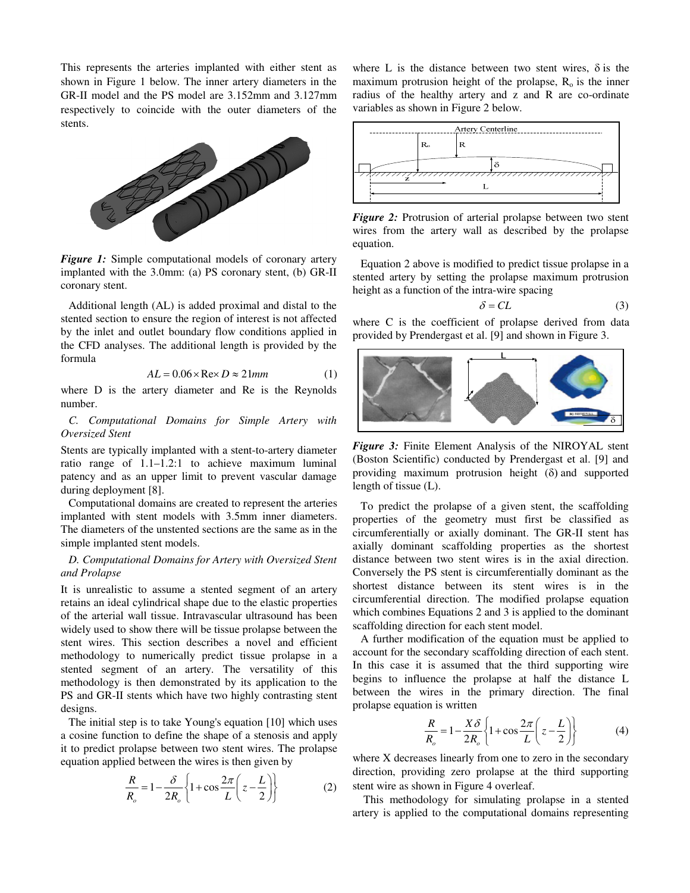This represents the arteries implanted with either stent as shown in Figure 1 below. The inner artery diameters in the GR-II model and the PS model are 3.152mm and 3.127mm respectively to coincide with the outer diameters of the stents.



*Figure 1:* Simple computational models of coronary artery implanted with the 3.0mm: (a) PS coronary stent, (b) GR-II coronary stent.

Additional length (AL) is added proximal and distal to the stented section to ensure the region of interest is not affected by the inlet and outlet boundary flow conditions applied in the CFD analyses. The additional length is provided by the formula

$$
AL = 0.06 \times \text{Re} \times D \approx 21 \text{mm}
$$
 (1)

where D is the artery diameter and Re is the Reynolds number.

*C. Computational Domains for Simple Artery with Oversized Stent* 

Stents are typically implanted with a stent-to-artery diameter ratio range of 1.1–1.2:1 to achieve maximum luminal patency and as an upper limit to prevent vascular damage during deployment [8].

Computational domains are created to represent the arteries implanted with stent models with 3.5mm inner diameters. The diameters of the unstented sections are the same as in the simple implanted stent models.

## *D. Computational Domains for Artery with Oversized Stent and Prolapse*

It is unrealistic to assume a stented segment of an artery retains an ideal cylindrical shape due to the elastic properties of the arterial wall tissue. Intravascular ultrasound has been widely used to show there will be tissue prolapse between the stent wires. This section describes a novel and efficient methodology to numerically predict tissue prolapse in a stented segment of an artery. The versatility of this methodology is then demonstrated by its application to the PS and GR-II stents which have two highly contrasting stent designs.

The initial step is to take Young's equation [10] which uses a cosine function to define the shape of a stenosis and apply it to predict prolapse between two stent wires. The prolapse equation applied between the wires is then given by

$$
\frac{R}{R_o} = 1 - \frac{\delta}{2R_o} \left\{ 1 + \cos \frac{2\pi}{L} \left( z - \frac{L}{2} \right) \right\}
$$
 (2)

where L is the distance between two stent wires,  $\delta$  is the maximum protrusion height of the prolapse,  $R_0$  is the inner radius of the healthy artery and z and R are co-ordinate variables as shown in Figure 2 below.



*Figure 2:* Protrusion of arterial prolapse between two stent wires from the artery wall as described by the prolapse equation.

Equation 2 above is modified to predict tissue prolapse in a stented artery by setting the prolapse maximum protrusion height as a function of the intra-wire spacing

$$
\delta = CL \tag{3}
$$

where C is the coefficient of prolapse derived from data provided by Prendergast et al. [9] and shown in Figure 3.



*Figure 3:* Finite Element Analysis of the NIROYAL stent (Boston Scientific) conducted by Prendergast et al. [9] and providing maximum protrusion height (δ) and supported length of tissue (L).

To predict the prolapse of a given stent, the scaffolding properties of the geometry must first be classified as circumferentially or axially dominant. The GR-II stent has axially dominant scaffolding properties as the shortest distance between two stent wires is in the axial direction. Conversely the PS stent is circumferentially dominant as the shortest distance between its stent wires is in the circumferential direction. The modified prolapse equation which combines Equations 2 and 3 is applied to the dominant scaffolding direction for each stent model.

A further modification of the equation must be applied to account for the secondary scaffolding direction of each stent. In this case it is assumed that the third supporting wire begins to influence the prolapse at half the distance L between the wires in the primary direction. The final prolapse equation is written

$$
\frac{R}{R_o} = 1 - \frac{X\delta}{2R_o} \left\{ 1 + \cos\frac{2\pi}{L} \left( z - \frac{L}{2} \right) \right\}
$$
(4)

where X decreases linearly from one to zero in the secondary direction, providing zero prolapse at the third supporting stent wire as shown in Figure 4 overleaf.

 This methodology for simulating prolapse in a stented artery is applied to the computational domains representing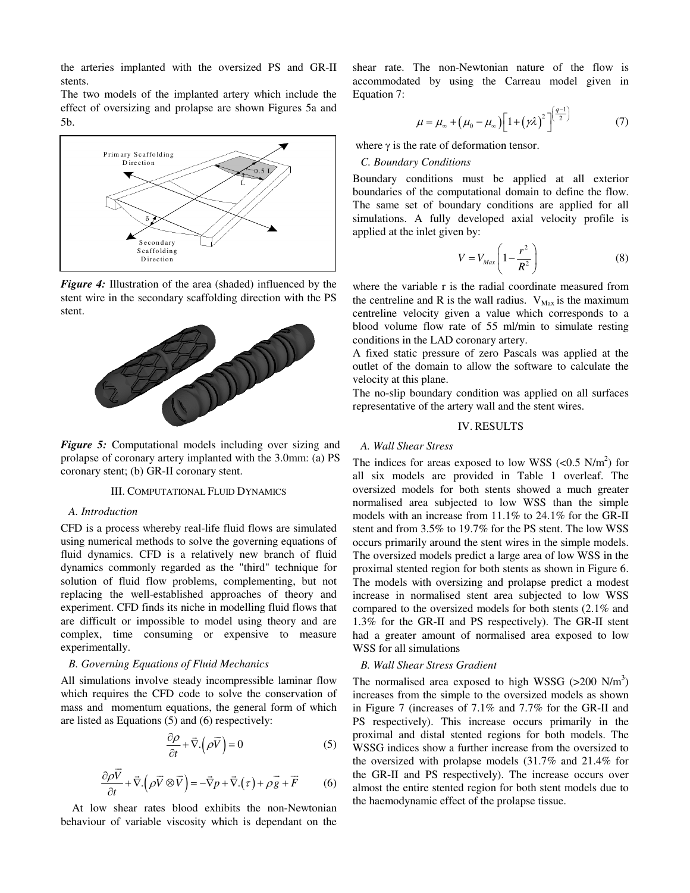the arteries implanted with the oversized PS and GR-II stents.

The two models of the implanted artery which include the effect of oversizing and prolapse are shown Figures 5a and 5b.



*Figure 4:* Illustration of the area (shaded) influenced by the stent wire in the secondary scaffolding direction with the PS stent.



*Figure 5:* Computational models including over sizing and prolapse of coronary artery implanted with the 3.0mm: (a) PS coronary stent; (b) GR-II coronary stent.

#### III. COMPUTATIONAL FLUID DYNAMICS

#### *A. Introduction*

CFD is a process whereby real-life fluid flows are simulated using numerical methods to solve the governing equations of fluid dynamics. CFD is a relatively new branch of fluid dynamics commonly regarded as the "third" technique for solution of fluid flow problems, complementing, but not replacing the well-established approaches of theory and experiment. CFD finds its niche in modelling fluid flows that are difficult or impossible to model using theory and are complex, time consuming or expensive to measure experimentally.

#### *B. Governing Equations of Fluid Mechanics*

All simulations involve steady incompressible laminar flow which requires the CFD code to solve the conservation of mass and momentum equations, the general form of which are listed as Equations (5) and (6) respectively:

$$
\frac{\partial \rho}{\partial t} + \vec{\nabla} \cdot (\rho \vec{V}) = 0 \tag{5}
$$

$$
\frac{\partial \rho \vec{V}}{\partial t} + \vec{\nabla} \cdot (\rho \vec{V} \otimes \vec{V}) = -\vec{\nabla} p + \vec{\nabla} \cdot (\tau) + \rho \vec{g} + \vec{F}
$$
(6)

 At low shear rates blood exhibits the non-Newtonian behaviour of variable viscosity which is dependant on the

shear rate. The non-Newtonian nature of the flow is accommodated by using the Carreau model given in Equation 7:

$$
\mu = \mu_{\infty} + \left(\mu_0 - \mu_{\infty}\right) \left[1 + \left(\gamma \lambda\right)^2\right]^{\left(\frac{q-1}{2}\right)}\tag{7}
$$

where  $\gamma$  is the rate of deformation tensor.

## *C. Boundary Conditions*

Boundary conditions must be applied at all exterior boundaries of the computational domain to define the flow. The same set of boundary conditions are applied for all simulations. A fully developed axial velocity profile is applied at the inlet given by:

$$
V = V_{Max} \left( 1 - \frac{r^2}{R^2} \right) \tag{8}
$$

where the variable r is the radial coordinate measured from the centreline and R is the wall radius.  $V_{\text{Max}}$  is the maximum centreline velocity given a value which corresponds to a blood volume flow rate of 55 ml/min to simulate resting conditions in the LAD coronary artery.

A fixed static pressure of zero Pascals was applied at the outlet of the domain to allow the software to calculate the velocity at this plane.

The no-slip boundary condition was applied on all surfaces representative of the artery wall and the stent wires.

#### IV. RESULTS

#### *A. Wall Shear Stress*

The indices for areas exposed to low WSS  $\left(<0.5 \text{ N/m}^2\right)$  for all six models are provided in Table 1 overleaf. The oversized models for both stents showed a much greater normalised area subjected to low WSS than the simple models with an increase from 11.1% to 24.1% for the GR-II stent and from 3.5% to 19.7% for the PS stent. The low WSS occurs primarily around the stent wires in the simple models. The oversized models predict a large area of low WSS in the proximal stented region for both stents as shown in Figure 6. The models with oversizing and prolapse predict a modest increase in normalised stent area subjected to low WSS compared to the oversized models for both stents (2.1% and 1.3% for the GR-II and PS respectively). The GR-II stent had a greater amount of normalised area exposed to low WSS for all simulations

#### *B. Wall Shear Stress Gradient*

The normalised area exposed to high WSSG  $(>200 \text{ N/m}^3)$ increases from the simple to the oversized models as shown in Figure 7 (increases of 7.1% and 7.7% for the GR-II and PS respectively). This increase occurs primarily in the proximal and distal stented regions for both models. The WSSG indices show a further increase from the oversized to the oversized with prolapse models (31.7% and 21.4% for the GR-II and PS respectively). The increase occurs over almost the entire stented region for both stent models due to the haemodynamic effect of the prolapse tissue.